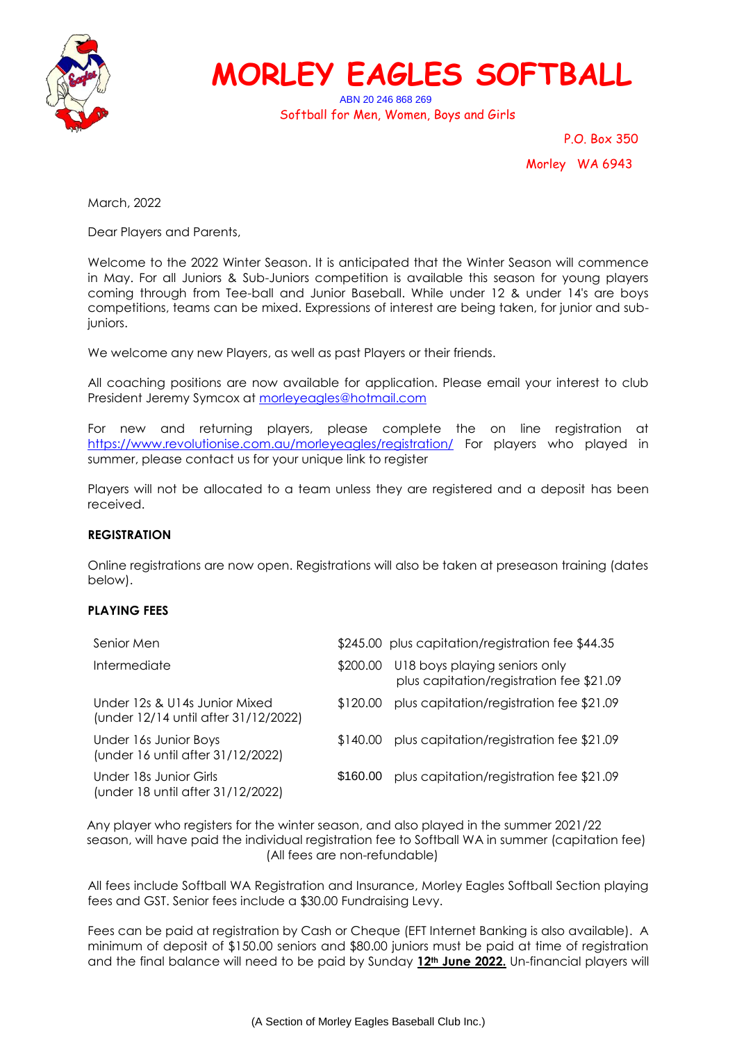

## **MORLEY EAGLES SOFTBALL**

ABN 20 246 868 269 Softball for Men, Women, Boys and Girls

> P.O. Box 350 Morley WA 6943

March, 2022

Dear Players and Parents,

Welcome to the 2022 Winter Season. It is anticipated that the Winter Season will commence in May. For all Juniors & Sub-Juniors competition is available this season for young players coming through from Tee-ball and Junior Baseball. While under 12 & under 14's are boys competitions, teams can be mixed. Expressions of interest are being taken, for junior and subjuniors.

We welcome any new Players, as well as past Players or their friends.

All coaching positions are now available for application. Please email your interest to club President Jeremy Symcox at [morleyeagles@hotmail.com](mailto:morleyeagles@hotmail.com)

For new and returning players, please complete the on line registration at <https://www.revolutionise.com.au/morleyeagles/registration/> For players who played in summer, please contact us for your unique link to register

Players will not be allocated to a team unless they are registered and a deposit has been received.

## **REGISTRATION**

Online registrations are now open. Registrations will also be taken at preseason training (dates below).

## **PLAYING FEES**

| Senior Men                                                            |          | \$245.00 plus capitation/registration fee \$44.35                         |
|-----------------------------------------------------------------------|----------|---------------------------------------------------------------------------|
| Intermediate                                                          | \$200.00 | U18 boys playing seniors only<br>plus capitation/registration fee \$21.09 |
| Under 12s & U14s Junior Mixed<br>(under 12/14 until after 31/12/2022) | \$120.00 | plus capitation/registration fee \$21.09                                  |
| Under 16s Junior Boys<br>(under 16 until after 31/12/2022)            | \$140.00 | plus capitation/registration fee \$21.09                                  |
| Under 18s Junior Girls<br>(under 18 until after 31/12/2022)           | \$160.00 | plus capitation/registration fee \$21.09                                  |

Any player who registers for the winter season, and also played in the summer 2021/22 season, will have paid the individual registration fee to Softball WA in summer (capitation fee) (All fees are non-refundable)

All fees include Softball WA Registration and Insurance, Morley Eagles Softball Section playing fees and GST. Senior fees include a \$30.00 Fundraising Levy.

Fees can be paid at registration by Cash or Cheque (EFT Internet Banking is also available). A minimum of deposit of \$150.00 seniors and \$80.00 juniors must be paid at time of registration and the final balance will need to be paid by Sunday **12th June 2022.** Un-financial players will